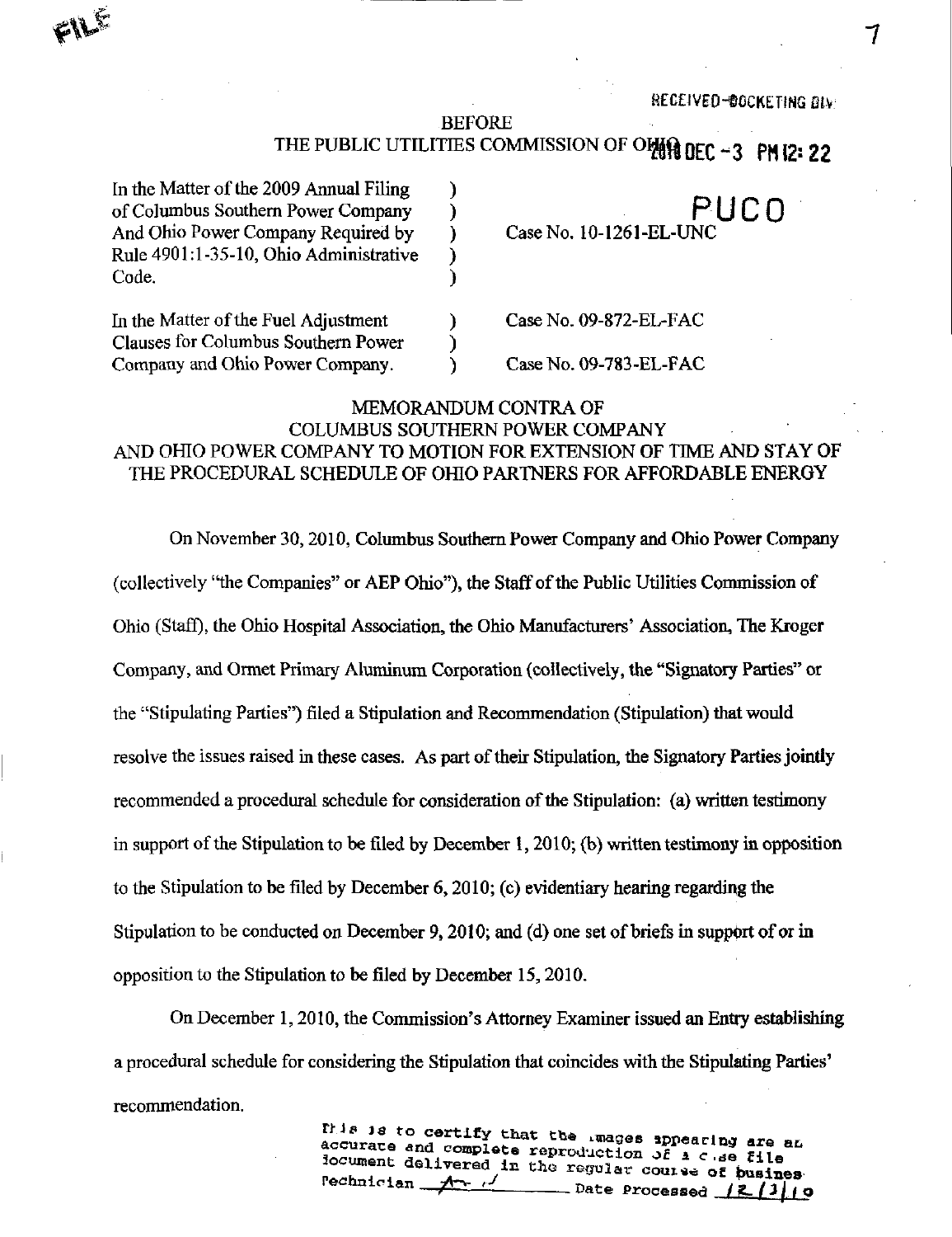RECEIVED-DOCKETING OIV

#### BEFORE

# THE PUBLIC UTILITIES COMMISSION OF OHER DEC - 3 PM 12: 22

| In the Matter of the 2009 Annual Filing |  |
|-----------------------------------------|--|
| of Columbus Southern Power Company      |  |
| And Ohio Power Company Required by      |  |
| Rule 4901:1-35-10, Ohio Administrative  |  |
| Code.                                   |  |
| In the Matter of the Fuel Adjustment    |  |
| Clauses for Columbus Southern Power     |  |
| Company and Ohio Power Company.         |  |

PUCO Case No. 10-1261-EL-UNC

Case No. 09-872-EL-FAC

CaseNo.09-783-EL-FAC

#### MEMORANDUM CONTRA OF COLUMBUS SOUTHERN POWER COMPANY

# AND OHIO POWER COMPANY TO MOTION FOR EXTENSION OF TIME AND STAY OF THE PROCEDURAL SCHEDULE OF OHIO PARTNERS FOR AFFORDABLE ENERGY

On November 30,2010, Columbus Southem Power Company and Ohio Power Company (collectively "the Companies" or AEP Ohio"), the Staff of the Public Utilities Commission of Ohio (Staff), the Ohio Hospital Association, the Ohio Manufacturers' Association, The Kroger Company, and Ormet Primary Aluminum Corporation (collectively, the "Signatory Parties" or the "Stipulating Parties") filed a Stipulation and Recommendation (Stipulation) that would resolve the issues raised in these cases. As part of their Stipulation, the Signatory Parties jointly recommended a procedural schedule for consideration of the Stipulation: (a) written testimony in support of the Stipulation to be fded by December 1,2010; (b) written testimony in opposition to the Stipulation to be filed by December 6,2010; (c) evidentiary hearing regarding the Stipulation to be conducted on December 9,2010; and (d) one set of briefs in support of or m opposition to the Stipulation to be filed by December 15,2010.

On December 1,2010, the Commission's Attorney Examiner issued an Entry establishing a procedural schedule for considering the Stipulation that coincides with the Stipulating Parties' recommendation.

> This is to certify that the images appearing are an accurate and complete room and in accurate and complete reproduction of  $\Delta c$  as file<br>iocument delivered in the regular course of busines<br>rechnician  $A$ Date Processed /2/JJO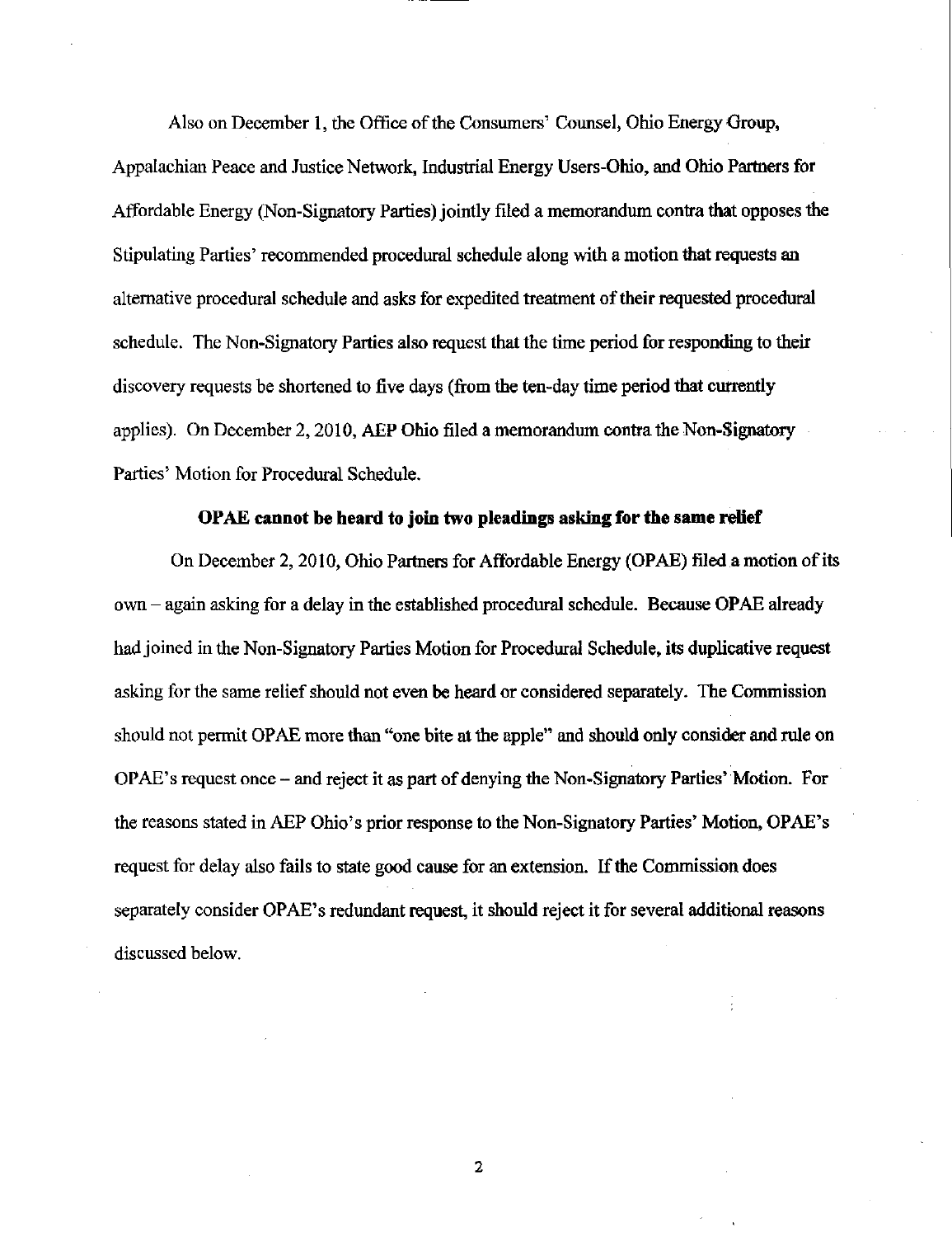Also on December 1, the Office of the Consumers' Counsel, Ohio Energy Group, Appalachian Peace and Justice Network, Industrial Energy Users-Ohio, and Ohio Partners for Affordable Energy (Non-Signatory Parties) jointly filed a memorandum contra that opposes the Stipulating Parties' recommended procedural schedule along with a motion that requests an alternative procedural schedule and asks for expedited treatment of their requested procedural schedule. The Non-Signatory Parties also request that the time period for responding to their discovery requests be shortened to five days (from the ten-day time period that currently applies). On December 2, 2010, AEP Ohio filed a memorandum contra the Non-Signatory Parties' Motion for Procedural Schedule.

### OPAE cannot be heard to join two pleadings asking for the same retief

On December 2, 2010, Ohio Partners for Affordable Energy (OPAE) filed a motion of its own - again asking for a delay in the established procedural schedule. Because OPAE already had joined in the Non-Signatory Parties Motion for Procedural Schedule, its duplicative request asking for the same relief should not even be heard or considered separately. The Commission should not permit OPAE more than "one bite at the apple" and should only consider and rule on OPAE's request once - and reject it as part of denying the Non-Signatory Parties' Motion. For the reasons stated in AEP Ohio's prior response to the Non-Signatory Parties' Motion, OPAE's request for delay also fails to state good cause for an extension. If the Commission does separately consider OPAE's redundant request, it should reject it for several additional reasons discussed below.

 $\mathbf{2}$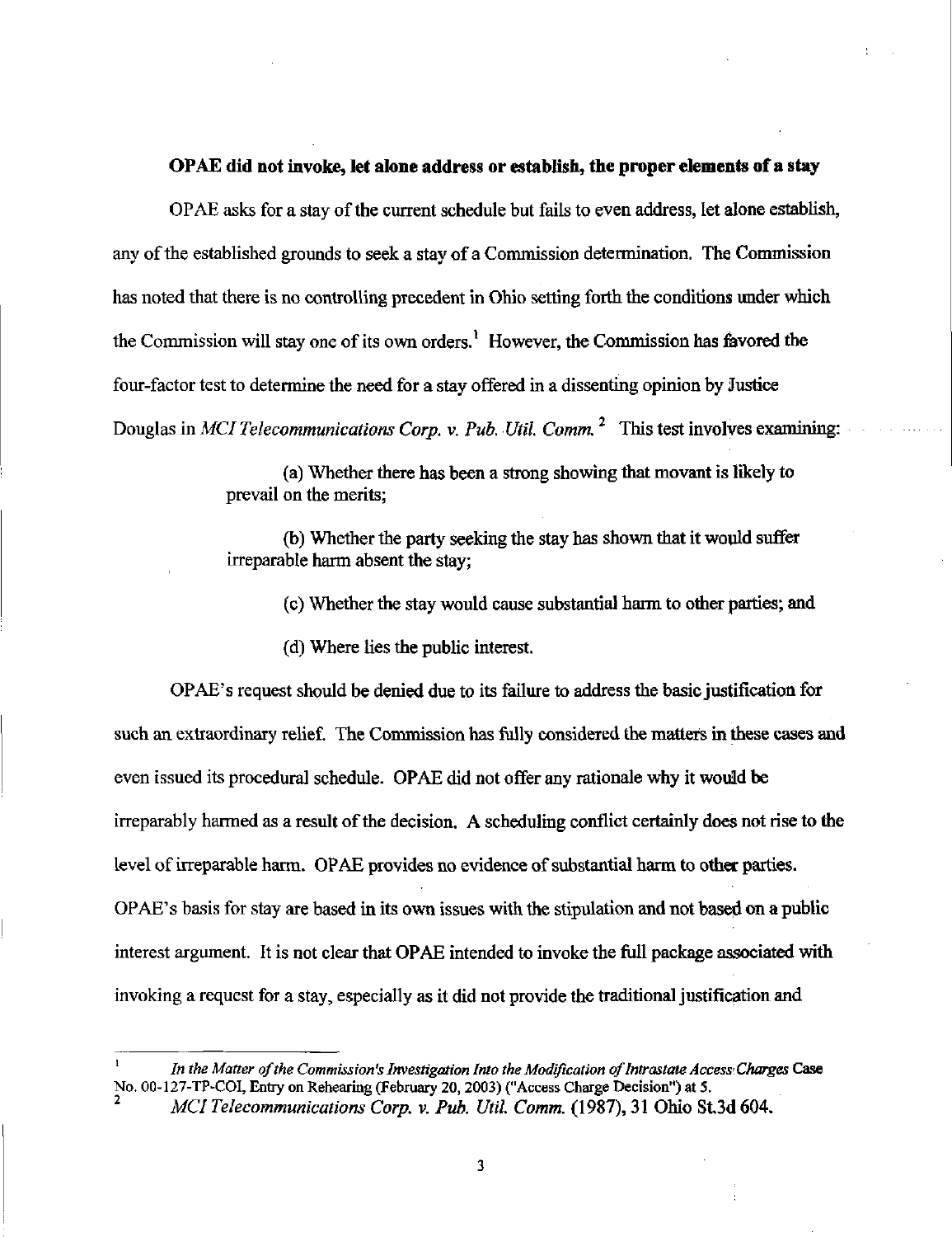#### OPAE did not invoke, let alone address or establish, the proper elements of a stay

OPAE asks for a stay of the current schedule but fails to even address, let alone establish, any of the established grounds to seek a stay of a Commission determination. The Commission has noted that there is no controlling precedent in Ohio setting forth the conditions under which the Commission will stay one of its own orders.<sup>1</sup> However, the Commission has favored the four-factor test to determine the need for a stay offered in a dissenting opinion by Justice Douglas in MCI Telecommunications Corp. v. Pub. Util. Comm.<sup>2</sup> This test involves examining:

> (a) Whether there has been a strong showing that movant is likely to prevail on the merits;

(b) Whether the party seeking the stay has shown that it would suffer irreparable harm absent the stay;

(c) Whether the stay would cause substantial harm to other parties; and

(d) Where lies the public interest.

OPAE's request should be denied due to its failure to address the basic justification for such an extraordinary relief. The Commission has fully considered the matters in these cases and even issued its procedural schedule. OPAE did not offer any rationale why it would be irreparably harmed as a result of the decision. A scheduling conflict certainly does not rise to the level of irreparable harm. OPAE provides no evidence of substantial harm to other parties. OPAE's basis for stay are based in its own issues with the stipulation and not based on a public interest argument. It is not clear that OPAE intended to invoke the full package associated with invoking a request for a stay, especially as it did not provide the traditional justification and

In the Matter of the Commission's Investigation Into the Modification of Intrastate Access Charges Case No. 00-127-TP-COI, Entry on Rehearing (February 20,2003) ("Access Charge Decision") at 5.

MCI Telecommunications Corp. v. Pub. Util. Comm. (1987), 31 Ohio St.3d 604.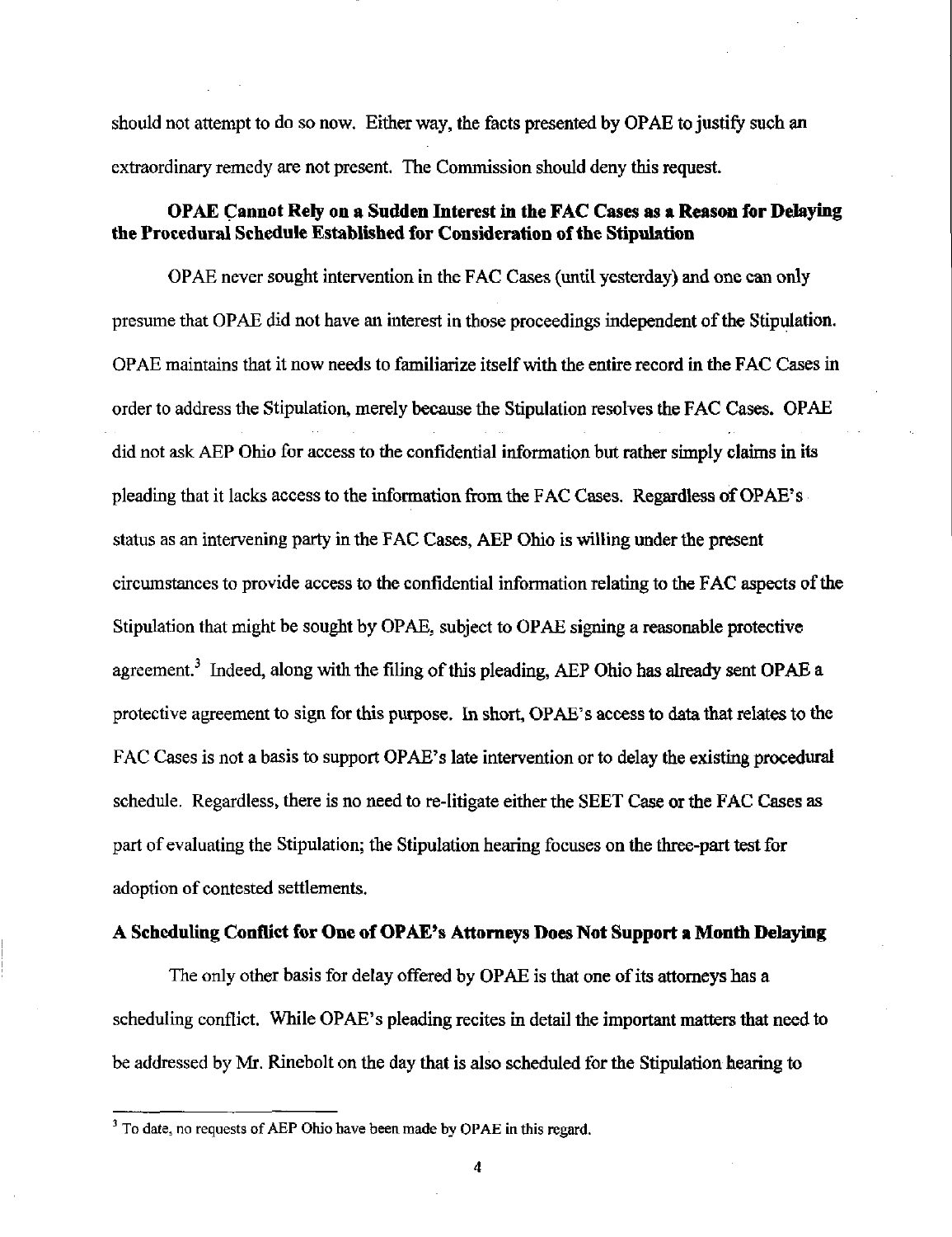should not attempt to do so now. Either way, the facts presented by OPAE to justify such an extraordinary remedy are not present. The Commission should deny this request.

## OPAE Cannot Rely on a Sudden Interest in the FAC Cases as a Reason for Delaying the Procedural Schedule Established for Consideration of the Stipulation

OPAE never sought intervention in the FAC Cases (until yesterday) and one can only presume that OPAE did not have an interest in those proceedings independent of the Stipulation. OPAE maintains that it now needs to familiarize itself with the entire record m the FAC Cases in order to address the Stipulation, merely because the Stipulation resolves the FAC Cases. OPAE did not ask AEP Ohio for access to the confidential information but rather simply claims in its pleading that it lacks access to the information from the FAC Cases. Regardless of OPAE's status as an intervening party in the FAC Cases, AEP Ohio is willing under the present circumstances to provide access to the confidential information relating to the FAC aspects of the Stipulation that might be sought by OPAE, subject to OPAE signing a reasonable protective agreement.<sup>3</sup> Indeed, along with the filing of this pleading, AEP Ohio has already sent OPAE a protective agreement to sign for this purpose. In short, OPAE's access to data that relates to the FAC Cases is not a basis to support OPAE's late intervention or to delay the existing procedural schedule. Regardless, there is no need to re-litigate either the SEET Case or the FAC Cases as part of evaluating the Stipulation; the Stipulation hearing focuses on the three-part test for adoption of contested settlements.

#### A Scheduling Conflict for One of OPAE's Attorneys Does Not Support a Month Delaying

The only other basis for delay offered by OPAE is that one of its attorneys has a scheduling conflict. While OPAE's pleading recites in detail the important matters that need to be addressed by Mr. Rinebolt on the day that is also scheduled for the Stipulation hearing to

4

 $3$  To date, no requests of AEP Ohio have been made by OPAE in this regard.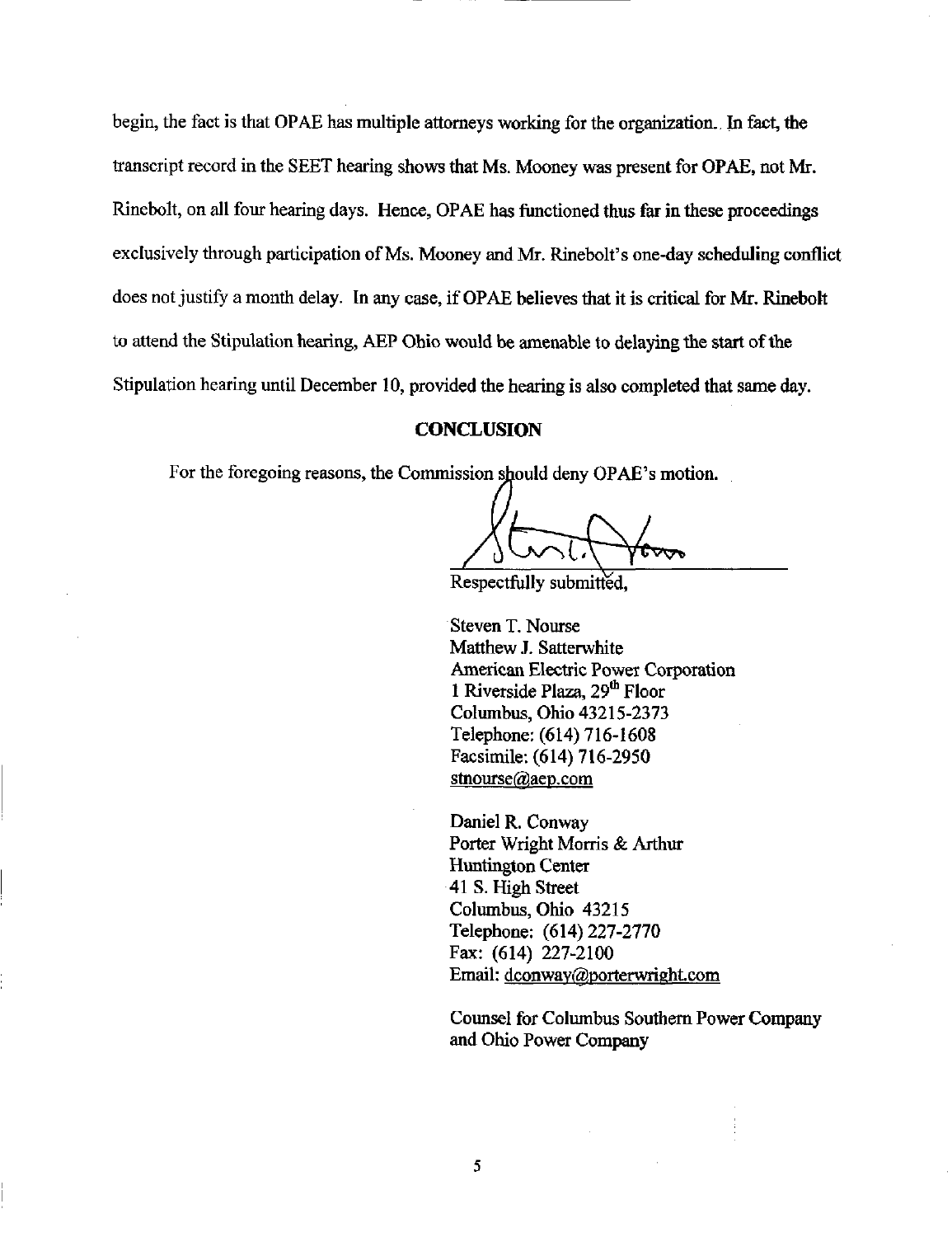begin, the fact is that OPAE has multiple attorneys working for the organization. In fact, the transcript record in the SEET hearing shows that Ms. Mooney was present for OPAE, not Mr. Rinebolt, on all four hearing days. Hence, OPAE has functioned thus far in these proceedings exclusively through participation of Ms. Mooney and Mr. Rinebolt's one-day scheduling conflict does not justify a month delay. In any case, if OPAE believes that it is critical for Mr. Rinebolt to attend the Stipulation hearing, AEP Ohio would be amenable to delaying the start of the Stipulation hearing until December 10, provided the hearing is also completed that same day.

#### **CONCLUSION**

For the foregoing reasons, the Commission should deny OPAE's motion.

Respectfully submitted.

Steven T. Nourse Matthew J. Satterwhite American Electric Power Corporation 1 Riverside Plaza, 29<sup>th</sup> Floor Columbus, Ohio 43215-2373 Telephone: (614) 716-1608 Facsimile: (614) 716-2950 [stnourse@aep.com](mailto:stnourse@aep.com) 

Daniel R. Conway Porter Wright Morris & Arthur Huntington Center 41 S. High Street Columbus, Ohio 43215 Telephone: (614)227-2770 Fax: (614) 227-2100 Email: dconway@porterwright.com

Counsel for Columbus Southem Power Company and Ohio Power Company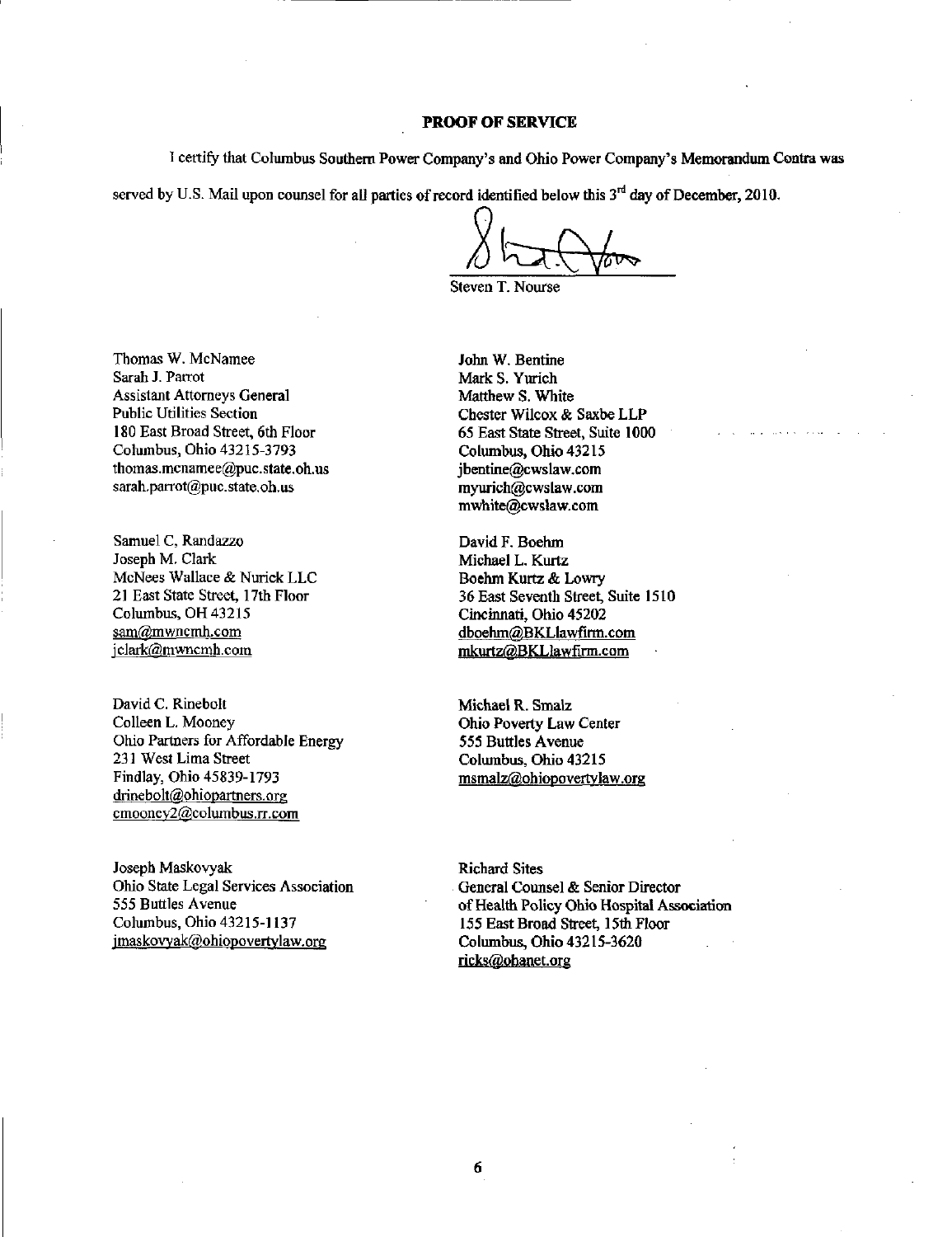#### PROOF OF SERVICE

1 certify that Columbus Southem Power Company's and Ohio Power Company's Memorandum Contra was

served by U.S. Mail upon counsel for all parties of record identified below this  $3<sup>rd</sup>$  day of December, 2010.

Steven T. Nourse

Thomas W. McNamee Sarah J. Parrot Assistant Attorneys General Public Utilities Section 180 East Broad Street, 6th Floor Columbus, Ohio 43215-3793 [thomas.mcnamee@puc.state.oh.us](mailto:thomas.mcnamee@puc.state.oh.us)  sarah,parrot@puc.state.oh,us

Samuel C, Randazzo Joseph M. Clark McNees Wallace & Nurick LLC 21 East State Street, 17th Floor Columbus, OH 43215 [sam@mwncmh.com](mailto:sam@mwncmh.com)  jclark(gjmwncmh.com

David C. Rinebolt Colleen L. Mooney Ohio Partners for Affordable Energy 231 West Lima Street Findlay, Ohio 45839-1793 [drinebolt@ohiopartners.org](mailto:drinebolt@ohiopartners.org)  cmooney2@columbus.rr.com

Joseph Maskovyak Ohio State Legal Services Association 555 Buttles Avenue Columbus, Ohio 43215-1137 imaskovyak@ohiopovertylaw.org

John W. Bentine Mark S. Yurich Matthew S. White Chester Wilcox & Saxbe LLP 65 East State Street, Suite 1000 Columbus, Ohio 43215 [jbentine@cwslaw.com](mailto:jbentine@cwslaw.com)  [myurich@cwslaw.com](mailto:myurich@cwslaw.com)  [mwhite@cwslaw.com](mailto:mwhite@cwslaw.com) 

David F. Boehm Michael L, Kurtz Boehm Kurtz & Lowry 36 East Seventh Street, Suite 1510 Cincinnati, Ohio 45202 [dboehm@BKLlawfirm.com](mailto:dboehm@BKLlawfirm.com)  mkurtz@BKLlawfirm.com

Michael R. Smalz Ohio Poverty Law Center 555 Buttles Avenue Columbus, Ohio 43215 [msmalz@ohiopovertvlaw.org](mailto:msmalz@ohiopovertvlaw.org) 

Richard Sites General Counsel & Senior Director of Health Policy Ohio Hospital Association 155 East Broad Street, 15th Floor Columbus, Ohio 43215-3620 ricks@ohanet.org